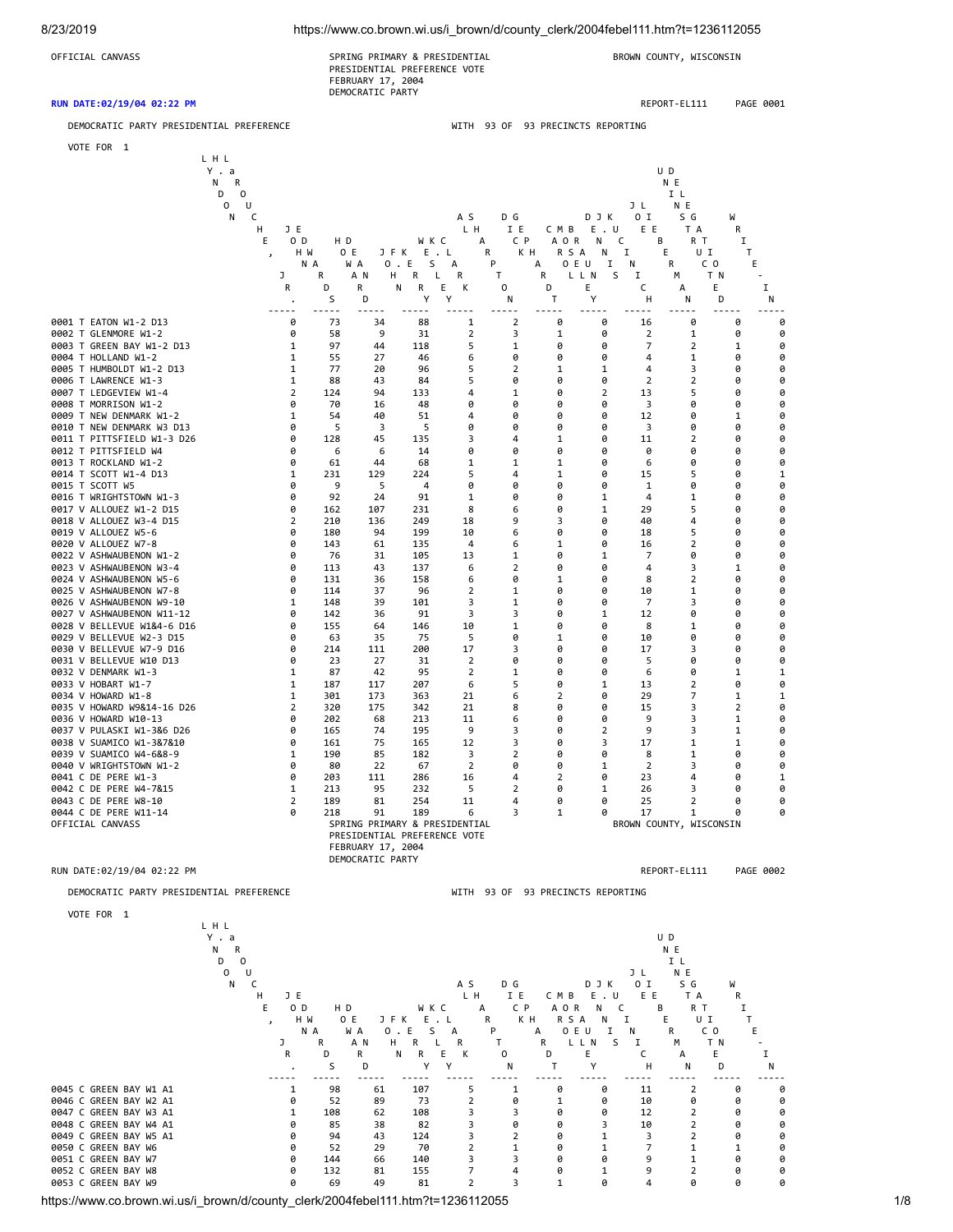| 8/23/2019                                                                                                                                                                                                                                                                                                                                                                                                                                                                                                                                                                                                                                                                                                                                                                                                                                                                                                                                                                                                                                                                                                                                                                   |                                                                                                                                                                                                                     | https://www.co.brown.wi.us/i_brown/d/county_clerk/2004febel111.htm?t=1236112055                                                                                                                                                                                                      |                                                                                                                                                                                                                                                                                                     |                                                                                                                                                                                                                                                                                       |                                                                                                                                                                                                                                                          |                                                                                                                                                                                                                     |                                                                                                                                                                                                                     |                                                                                                                                                                                                                     |                                                                                                                                                                                                                                                                                  |                                                                                                                                                                                                                                                            |                                                                                                                                                                                                                     |                                                                                                                                                                                                                     |
|-----------------------------------------------------------------------------------------------------------------------------------------------------------------------------------------------------------------------------------------------------------------------------------------------------------------------------------------------------------------------------------------------------------------------------------------------------------------------------------------------------------------------------------------------------------------------------------------------------------------------------------------------------------------------------------------------------------------------------------------------------------------------------------------------------------------------------------------------------------------------------------------------------------------------------------------------------------------------------------------------------------------------------------------------------------------------------------------------------------------------------------------------------------------------------|---------------------------------------------------------------------------------------------------------------------------------------------------------------------------------------------------------------------|--------------------------------------------------------------------------------------------------------------------------------------------------------------------------------------------------------------------------------------------------------------------------------------|-----------------------------------------------------------------------------------------------------------------------------------------------------------------------------------------------------------------------------------------------------------------------------------------------------|---------------------------------------------------------------------------------------------------------------------------------------------------------------------------------------------------------------------------------------------------------------------------------------|----------------------------------------------------------------------------------------------------------------------------------------------------------------------------------------------------------------------------------------------------------|---------------------------------------------------------------------------------------------------------------------------------------------------------------------------------------------------------------------|---------------------------------------------------------------------------------------------------------------------------------------------------------------------------------------------------------------------|---------------------------------------------------------------------------------------------------------------------------------------------------------------------------------------------------------------------|----------------------------------------------------------------------------------------------------------------------------------------------------------------------------------------------------------------------------------------------------------------------------------|------------------------------------------------------------------------------------------------------------------------------------------------------------------------------------------------------------------------------------------------------------|---------------------------------------------------------------------------------------------------------------------------------------------------------------------------------------------------------------------|---------------------------------------------------------------------------------------------------------------------------------------------------------------------------------------------------------------------|
| OFFICIAL CANVASS                                                                                                                                                                                                                                                                                                                                                                                                                                                                                                                                                                                                                                                                                                                                                                                                                                                                                                                                                                                                                                                                                                                                                            |                                                                                                                                                                                                                     |                                                                                                                                                                                                                                                                                      | SPRING PRIMARY & PRESIDENTIAL<br>PRESIDENTIAL PREFERENCE VOTE<br>FEBRUARY 17, 2004<br>DEMOCRATIC PARTY                                                                                                                                                                                              |                                                                                                                                                                                                                                                                                       |                                                                                                                                                                                                                                                          |                                                                                                                                                                                                                     |                                                                                                                                                                                                                     |                                                                                                                                                                                                                     | BROWN COUNTY, WISCONSIN                                                                                                                                                                                                                                                          |                                                                                                                                                                                                                                                            |                                                                                                                                                                                                                     |                                                                                                                                                                                                                     |
| RUN DATE:02/19/04 02:22 PM                                                                                                                                                                                                                                                                                                                                                                                                                                                                                                                                                                                                                                                                                                                                                                                                                                                                                                                                                                                                                                                                                                                                                  |                                                                                                                                                                                                                     |                                                                                                                                                                                                                                                                                      |                                                                                                                                                                                                                                                                                                     |                                                                                                                                                                                                                                                                                       |                                                                                                                                                                                                                                                          |                                                                                                                                                                                                                     |                                                                                                                                                                                                                     |                                                                                                                                                                                                                     |                                                                                                                                                                                                                                                                                  | REPORT-EL111                                                                                                                                                                                                                                               |                                                                                                                                                                                                                     | PAGE 0001                                                                                                                                                                                                           |
| DEMOCRATIC PARTY PRESIDENTIAL PREFERENCE                                                                                                                                                                                                                                                                                                                                                                                                                                                                                                                                                                                                                                                                                                                                                                                                                                                                                                                                                                                                                                                                                                                                    |                                                                                                                                                                                                                     |                                                                                                                                                                                                                                                                                      |                                                                                                                                                                                                                                                                                                     |                                                                                                                                                                                                                                                                                       |                                                                                                                                                                                                                                                          |                                                                                                                                                                                                                     | WITH 93 OF 93 PRECINCTS REPORTING                                                                                                                                                                                   |                                                                                                                                                                                                                     |                                                                                                                                                                                                                                                                                  |                                                                                                                                                                                                                                                            |                                                                                                                                                                                                                     |                                                                                                                                                                                                                     |
| VOTE FOR 1                                                                                                                                                                                                                                                                                                                                                                                                                                                                                                                                                                                                                                                                                                                                                                                                                                                                                                                                                                                                                                                                                                                                                                  |                                                                                                                                                                                                                     |                                                                                                                                                                                                                                                                                      |                                                                                                                                                                                                                                                                                                     |                                                                                                                                                                                                                                                                                       |                                                                                                                                                                                                                                                          |                                                                                                                                                                                                                     |                                                                                                                                                                                                                     |                                                                                                                                                                                                                     |                                                                                                                                                                                                                                                                                  |                                                                                                                                                                                                                                                            |                                                                                                                                                                                                                     |                                                                                                                                                                                                                     |
|                                                                                                                                                                                                                                                                                                                                                                                                                                                                                                                                                                                                                                                                                                                                                                                                                                                                                                                                                                                                                                                                                                                                                                             | LHL<br>Y.a<br>Ν<br>R<br>D<br>0<br>0<br>U<br>Ν<br>c<br>JE<br>н<br>Ε<br>0 D<br>$\overline{\phantom{a}}$                                                                                                               | H D<br>0 E<br>H M                                                                                                                                                                                                                                                                    | JFK                                                                                                                                                                                                                                                                                                 | W K C<br>E.L                                                                                                                                                                                                                                                                          | A S<br>LН<br>А                                                                                                                                                                                                                                           | D G<br>IE<br>C P<br>K H<br>R                                                                                                                                                                                        | CMB<br>A O R<br>R S A                                                                                                                                                                                               | DJK<br>E.U<br>N<br>Ν                                                                                                                                                                                                | U D<br>JL<br>0 I<br>ΕE<br>в<br>c<br>E<br>I                                                                                                                                                                                                                                       | N E<br>ΙL<br>N E<br>S G<br>T A<br>R T<br>υI                                                                                                                                                                                                                | W<br>R<br>I<br>Т                                                                                                                                                                                                    |                                                                                                                                                                                                                     |
|                                                                                                                                                                                                                                                                                                                                                                                                                                                                                                                                                                                                                                                                                                                                                                                                                                                                                                                                                                                                                                                                                                                                                                             |                                                                                                                                                                                                                     | N A                                                                                                                                                                                                                                                                                  | W A                                                                                                                                                                                                                                                                                                 | 0.E<br>S                                                                                                                                                                                                                                                                              | А                                                                                                                                                                                                                                                        | P                                                                                                                                                                                                                   | А<br>0 E U                                                                                                                                                                                                          | 1                                                                                                                                                                                                                   | Ν                                                                                                                                                                                                                                                                                | R<br>C O                                                                                                                                                                                                                                                   |                                                                                                                                                                                                                     | Ε                                                                                                                                                                                                                   |
|                                                                                                                                                                                                                                                                                                                                                                                                                                                                                                                                                                                                                                                                                                                                                                                                                                                                                                                                                                                                                                                                                                                                                                             | J<br>R                                                                                                                                                                                                              | R<br>D                                                                                                                                                                                                                                                                               | A N<br>н<br>R                                                                                                                                                                                                                                                                                       | R<br>L<br>R<br>Ν                                                                                                                                                                                                                                                                      | R<br>Ε<br>к                                                                                                                                                                                                                                              | Τ<br>0                                                                                                                                                                                                              | R<br>LLN<br>D                                                                                                                                                                                                       | Ε                                                                                                                                                                                                                   | S<br>I<br>c                                                                                                                                                                                                                                                                      | T N<br>М<br>А<br>E                                                                                                                                                                                                                                         |                                                                                                                                                                                                                     | I                                                                                                                                                                                                                   |
|                                                                                                                                                                                                                                                                                                                                                                                                                                                                                                                                                                                                                                                                                                                                                                                                                                                                                                                                                                                                                                                                                                                                                                             |                                                                                                                                                                                                                     | S                                                                                                                                                                                                                                                                                    | D                                                                                                                                                                                                                                                                                                   | Υ                                                                                                                                                                                                                                                                                     | Υ                                                                                                                                                                                                                                                        | Ν                                                                                                                                                                                                                   | Т                                                                                                                                                                                                                   | Υ                                                                                                                                                                                                                   | н                                                                                                                                                                                                                                                                                | Ν                                                                                                                                                                                                                                                          | D                                                                                                                                                                                                                   | Ν                                                                                                                                                                                                                   |
| 0001 T EATON W1-2 D13<br>0002 T GLENMORE W1-2<br>0003 T GREEN BAY W1-2 D13<br>0004 T HOLLAND W1-2<br>0005 T HUMBOLDT W1-2 D13<br>0006 T LAWRENCE W1-3<br>0007 T LEDGEVIEW W1-4<br>0008 T MORRISON W1-2<br>0009 T NEW DENMARK W1-2<br>0010 T NEW DENMARK W3 D13<br>0011 T PITTSFIELD W1-3 D26<br>0012 T PITTSFIELD W4<br>0013 T ROCKLAND W1-2<br>0014 T SCOTT W1-4 D13<br>0015 T SCOTT W5<br>0016 T WRIGHTSTOWN W1-3<br>0017 V ALLOUEZ W1-2 D15<br>0018 V ALLOUEZ W3-4 D15<br>0019 V ALLOUEZ W5-6<br>0020 V ALLOUEZ W7-8<br>0022 V ASHWAUBENON W1-2<br>0023 V ASHWAUBENON W3-4<br>0024 V ASHWAUBENON W5-6<br>0025 V ASHWAUBENON W7-8<br>0026 V ASHWAUBENON W9-10<br>0027 V ASHWAUBENON W11-12<br>0028 V BELLEVUE W1&4-6 D16<br>0029 V BELLEVUE W2-3 D15<br>0030 V BELLEVUE W7-9 D16<br>0031 V BELLEVUE W10 D13<br>0032 V DENMARK W1-3<br>0033 V HOBART W1-7<br>0034 V HOWARD W1-8<br>0035 V HOWARD W9&14-16 D26<br>0036 V HOWARD W10-13<br>0037 V PULASKI W1-3&6 D26<br>0038 V SUAMICO W1-3&7&10<br>0039 V SUAMICO W4-6&8-9<br>0040 V WRIGHTSTOWN W1-2<br>0041 C DE PERE W1-3<br>0042 C DE PERE W4-7&15<br>0043 C DE PERE W8-10<br>0044 C DE PERE W11-14<br>OFFICIAL CANVASS | 0<br>0<br>1<br>1<br>1<br>1<br>2<br>0<br>1<br>0<br>0<br>0<br>0<br>1<br>0<br>0<br>0<br>2<br>0<br>0<br>0<br>0<br>0<br>0<br>1<br>0<br>0<br>0<br>0<br>0<br>1<br>1<br>1<br>2<br>0<br>0<br>0<br>1<br>0<br>0<br>1<br>2<br>0 | 73<br>58<br>97<br>55<br>77<br>88<br>124<br>70<br>54<br>5<br>128<br>6<br>61<br>231<br>9<br>92<br>162<br>210<br>180<br>143<br>76<br>113<br>131<br>114<br>148<br>142<br>155<br>63<br>214<br>23<br>87<br>187<br>301<br>320<br>202<br>165<br>161<br>190<br>80<br>203<br>213<br>189<br>218 | 34<br>9<br>44<br>27<br>20<br>43<br>94<br>16<br>40<br>3<br>45<br>6<br>44<br>129<br>5<br>24<br>107<br>136<br>94<br>61<br>31<br>43<br>36<br>37<br>39<br>36<br>64<br>35<br>111<br>27<br>42<br>117<br>173<br>175<br>68<br>74<br>75<br>85<br>22<br>111<br>95<br>81<br>91<br>SPRING PRIMARY & PRESIDENTIAL | 88<br>31<br>118<br>46<br>96<br>84<br>133<br>48<br>51<br>5<br>135<br>14<br>68<br>224<br>4<br>91<br>231<br>249<br>199<br>135<br>105<br>137<br>158<br>96<br>101<br>91<br>146<br>75<br>200<br>31<br>95<br>207<br>363<br>342<br>213<br>195<br>165<br>182<br>67<br>286<br>232<br>254<br>189 | 1<br>$\overline{2}$<br>5<br>6<br>5<br>5<br>4<br>0<br>4<br>0<br>3<br>0<br>1<br>5<br>0<br>1<br>8<br>18<br>10<br>4<br>13<br>6<br>6<br>2<br>3<br>3<br>10<br>5<br>17<br>2<br>2<br>6<br>21<br>21<br>11<br>9<br>12<br>3<br>$\overline{2}$<br>16<br>5<br>11<br>6 | 2<br>3<br>1<br>0<br>2<br>0<br>1<br>0<br>0<br>0<br>4<br>0<br>1<br>4<br>0<br>0<br>6<br>9<br>6<br>6<br>1<br>2<br>0<br>1<br>1<br>3<br>1<br>0<br>3<br>0<br>1<br>5<br>6<br>8<br>6<br>3<br>3<br>2<br>0<br>4<br>2<br>4<br>3 | 0<br>1<br>0<br>0<br>1<br>0<br>0<br>0<br>0<br>0<br>1<br>0<br>1<br>1<br>0<br>0<br>0<br>3<br>0<br>1<br>0<br>0<br>1<br>0<br>0<br>0<br>0<br>1<br>0<br>0<br>0<br>0<br>2<br>0<br>0<br>0<br>0<br>0<br>0<br>2<br>0<br>0<br>1 | 0<br>0<br>0<br>0<br>1<br>0<br>2<br>0<br>0<br>0<br>0<br>0<br>0<br>0<br>0<br>1<br>1<br>0<br>0<br>0<br>1<br>0<br>0<br>0<br>0<br>1<br>0<br>0<br>0<br>ø<br>0<br>1<br>0<br>0<br>0<br>2<br>3<br>0<br>1<br>0<br>1<br>0<br>a | 16<br>2<br>7<br>4<br>4<br>2<br>13<br>3<br>12<br>3<br>11<br>0<br>6<br>15<br>1<br>4<br>29<br>40<br>18<br>16<br>7<br>4<br>8<br>10<br>$\overline{7}$<br>12<br>8<br>10<br>17<br>5<br>6<br>13<br>29<br>15<br>9<br>9<br>17<br>8<br>2<br>23<br>26<br>25<br>17<br>BROWN COUNTY, WISCONSIN | 0<br>1<br>2<br>1<br>3<br>$\overline{2}$<br>5<br>0<br>0<br>0<br>2<br>0<br>0<br>5<br>0<br>1<br>5<br>4<br>5<br>$\overline{2}$<br>0<br>3<br>$\overline{2}$<br>1<br>3<br>0<br>1<br>0<br>3<br>0<br>0<br>2<br>7<br>3<br>3<br>3<br>1<br>1<br>3<br>4<br>3<br>2<br>1 | 0<br>0<br>1<br>0<br>0<br>0<br>0<br>0<br>1<br>0<br>0<br>0<br>0<br>0<br>0<br>0<br>0<br>0<br>0<br>0<br>0<br>1<br>0<br>0<br>0<br>0<br>0<br>0<br>0<br>0<br>1<br>0<br>1<br>2<br>1<br>1<br>1<br>0<br>0<br>0<br>0<br>0<br>0 | 0<br>0<br>0<br>0<br>0<br>0<br>0<br>0<br>0<br>0<br>0<br>0<br>0<br>1<br>0<br>0<br>0<br>0<br>0<br>0<br>0<br>0<br>0<br>0<br>0<br>0<br>0<br>0<br>0<br>0<br>1<br>0<br>1<br>0<br>0<br>0<br>0<br>0<br>0<br>1<br>0<br>0<br>0 |
|                                                                                                                                                                                                                                                                                                                                                                                                                                                                                                                                                                                                                                                                                                                                                                                                                                                                                                                                                                                                                                                                                                                                                                             |                                                                                                                                                                                                                     |                                                                                                                                                                                                                                                                                      | PRESIDENTIAL PREFERENCE VOTE<br>FEBRUARY 17, 2004                                                                                                                                                                                                                                                   |                                                                                                                                                                                                                                                                                       |                                                                                                                                                                                                                                                          |                                                                                                                                                                                                                     |                                                                                                                                                                                                                     |                                                                                                                                                                                                                     |                                                                                                                                                                                                                                                                                  |                                                                                                                                                                                                                                                            |                                                                                                                                                                                                                     |                                                                                                                                                                                                                     |
| RUN DATE:02/19/04 02:22 PM                                                                                                                                                                                                                                                                                                                                                                                                                                                                                                                                                                                                                                                                                                                                                                                                                                                                                                                                                                                                                                                                                                                                                  |                                                                                                                                                                                                                     |                                                                                                                                                                                                                                                                                      | DEMOCRATIC PARTY                                                                                                                                                                                                                                                                                    |                                                                                                                                                                                                                                                                                       |                                                                                                                                                                                                                                                          |                                                                                                                                                                                                                     |                                                                                                                                                                                                                     |                                                                                                                                                                                                                     |                                                                                                                                                                                                                                                                                  | REPORT-EL111                                                                                                                                                                                                                                               |                                                                                                                                                                                                                     | PAGE 0002                                                                                                                                                                                                           |
|                                                                                                                                                                                                                                                                                                                                                                                                                                                                                                                                                                                                                                                                                                                                                                                                                                                                                                                                                                                                                                                                                                                                                                             |                                                                                                                                                                                                                     |                                                                                                                                                                                                                                                                                      |                                                                                                                                                                                                                                                                                                     |                                                                                                                                                                                                                                                                                       |                                                                                                                                                                                                                                                          |                                                                                                                                                                                                                     |                                                                                                                                                                                                                     |                                                                                                                                                                                                                     |                                                                                                                                                                                                                                                                                  |                                                                                                                                                                                                                                                            |                                                                                                                                                                                                                     |                                                                                                                                                                                                                     |
| DEMOCRATIC PARTY PRESIDENTIAL PREFERENCE<br>VOTE FOR 1                                                                                                                                                                                                                                                                                                                                                                                                                                                                                                                                                                                                                                                                                                                                                                                                                                                                                                                                                                                                                                                                                                                      | LHL<br>Y.a                                                                                                                                                                                                          |                                                                                                                                                                                                                                                                                      |                                                                                                                                                                                                                                                                                                     |                                                                                                                                                                                                                                                                                       |                                                                                                                                                                                                                                                          |                                                                                                                                                                                                                     | WITH 93 OF 93 PRECINCTS REPORTING                                                                                                                                                                                   |                                                                                                                                                                                                                     | U D                                                                                                                                                                                                                                                                              |                                                                                                                                                                                                                                                            |                                                                                                                                                                                                                     |                                                                                                                                                                                                                     |

N R NE D O I L OU DE LA RESERVACIÓN DE LA RESERVACIÓN DE LA RESERVACIÓN DE LA RESERVACIÓN DE LA RESERVACIÓN DE LA RESERVACIÓN N C A S D G D J K O I S G W H JE LH IE CMBE.U EE TAR E OD HD WKC A CPAORNC BRT I , HW OE JFK E.L R KH RSANI E UI T N A WAO . E SAPAO EUIN R COE J R AN H R L R R L L N S I M TN - R D R N R E K O D E C A E I . S D Y Y N T Y H N D N 9945 C GREEN BAY W1 A1<br>
9946 C GREEN BAY W2 A1<br>
9946 C GREEN BAY W2 A1<br>
9947 C GREEN BAY W3 A1<br>
9948 C GREEN BAY W3 A1<br>
9949 C GREEN BAY W5 A1<br>
9949 C GREEN BAY W5 A1<br>
9959 C GREEN BAY W5 A1<br>
9959 C GREEN BAY W5 A1<br>
9959 0045 C GREEN BAY W2 A1<br>
0046 C GREEN BAY W2 A1<br>
0046 C GREEN BAY W3 A1<br>
0047 C GREEN BAY W4 A1<br>
0049 C GREEN BAY W4 A1<br>
0069 C GREEN BAY W5 A1<br>
00695 C GREEN BAY W5<br>
0052 C GREEN BAY W3<br>
0052 C GREEN BAY W3<br>
0052 C GREEN B 0053 C GREEN BAY W9

https://www.co.brown.wi.us/i\_brown/d/county\_clerk/2004febel111.htm?t=1236112055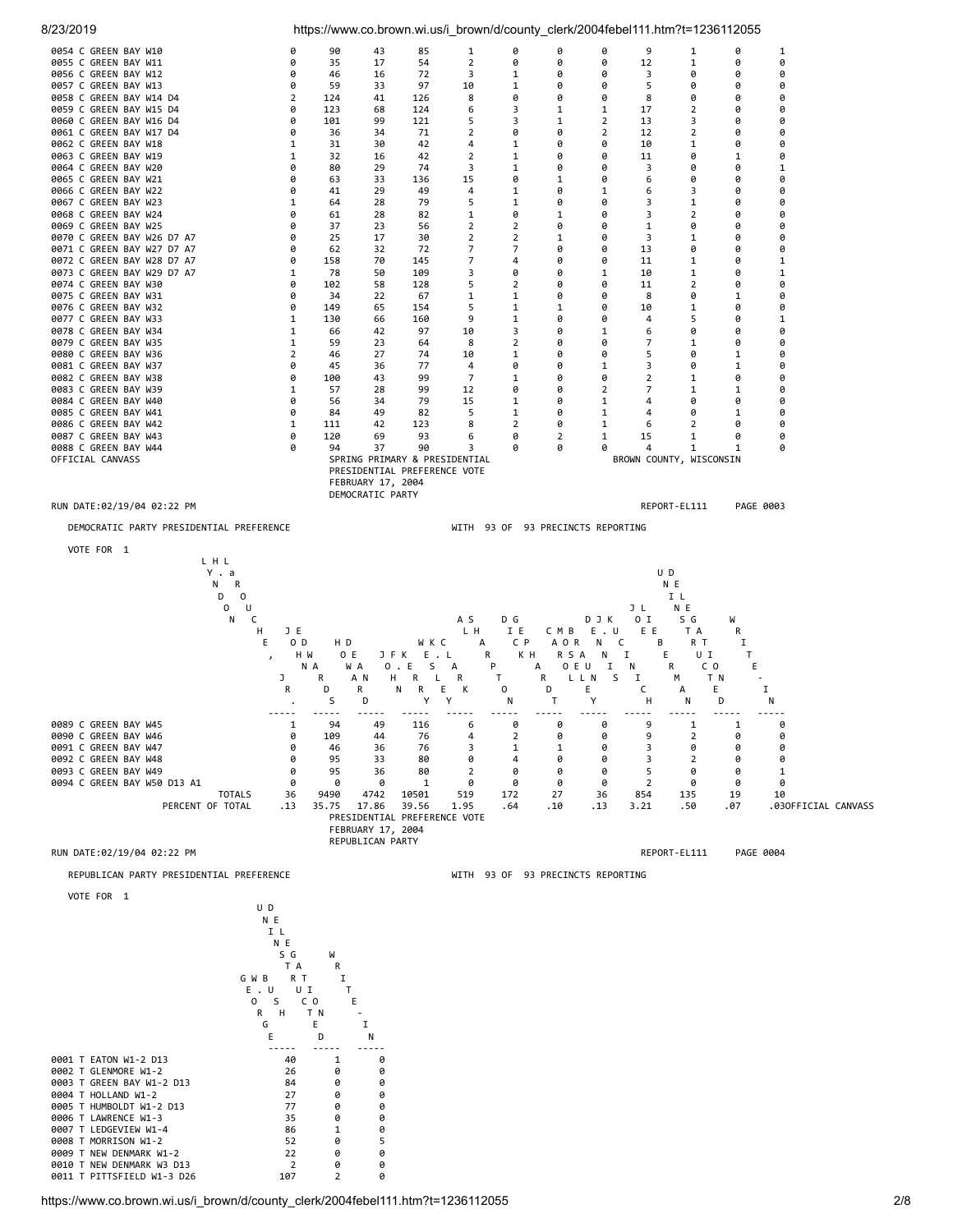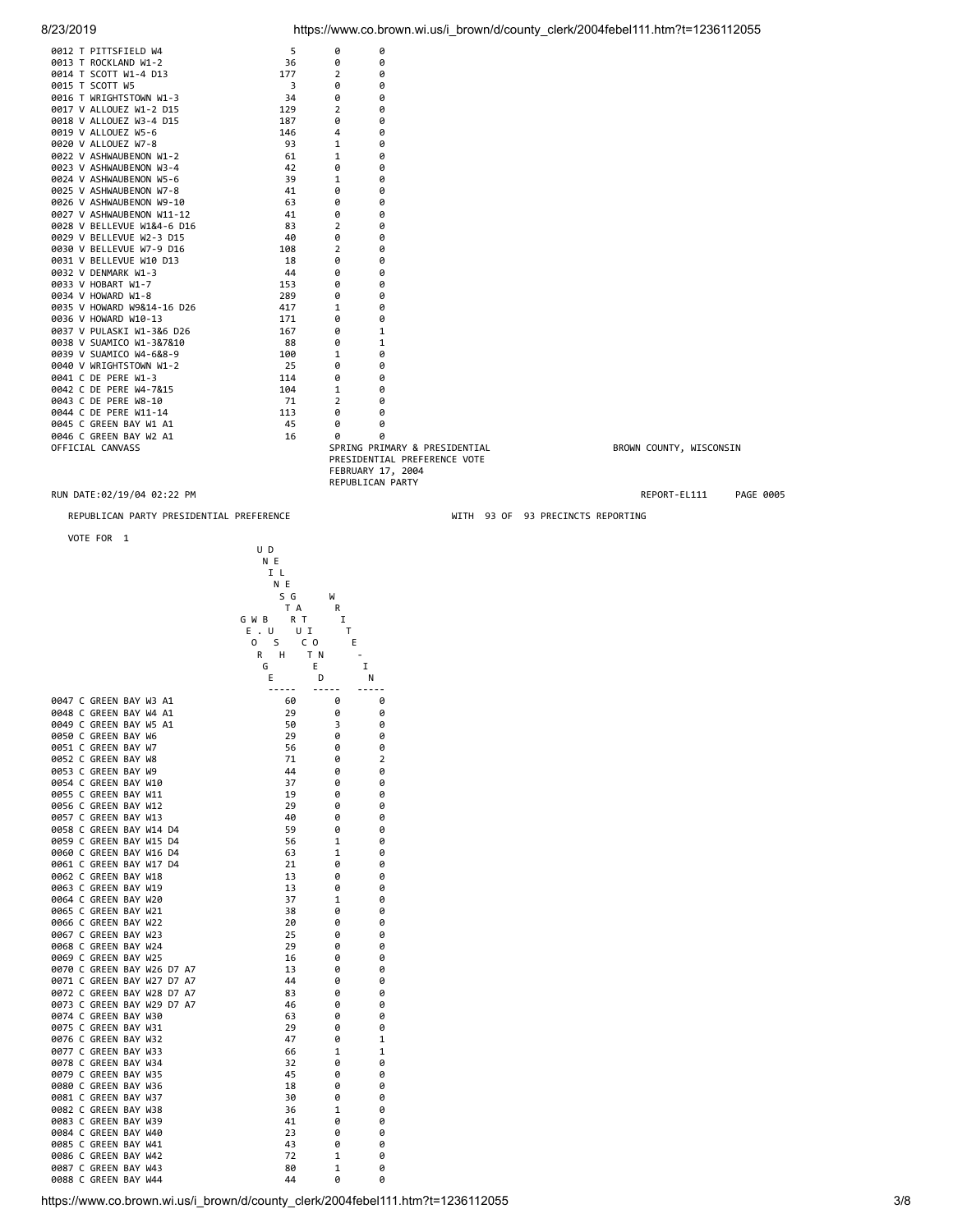| 8/23/2019 |  |  |
|-----------|--|--|
|           |  |  |

| 0012 T PITTSFIELD W4       | 5                                                                                        | 0              | 0                 |              |           |
|----------------------------|------------------------------------------------------------------------------------------|----------------|-------------------|--------------|-----------|
| 0013 T ROCKLAND W1-2       | 36                                                                                       | 0              | 0                 |              |           |
| 0014 T SCOTT W1-4 D13      | 177                                                                                      | $\overline{2}$ | 0                 |              |           |
| 0015 T SCOTT W5            | 3                                                                                        | 0              | 0                 |              |           |
| 0016 T WRIGHTSTOWN W1-3    | 34                                                                                       | 0              | 0                 |              |           |
| 0017 V ALLOUEZ W1-2 D15    | 129                                                                                      | $\overline{2}$ | 0                 |              |           |
| 0018 V ALLOUEZ W3-4 D15    | 187                                                                                      | ø              | 0                 |              |           |
| 0019 V ALLOUEZ W5-6        | 146                                                                                      | 4              | 0                 |              |           |
| 0020 V ALLOUEZ W7-8        | 93                                                                                       | 1              | 0                 |              |           |
| 0022 V ASHWAUBENON W1-2    | 61                                                                                       | 1              | 0                 |              |           |
| 0023 V ASHWAUBENON W3-4    | 42                                                                                       | 0              | 0                 |              |           |
| 0024 V ASHWAUBENON W5-6    | 39                                                                                       | 1              | 0                 |              |           |
| 0025 V ASHWAUBENON W7-8    | 41                                                                                       | 0              | 0                 |              |           |
| 0026 V ASHWAUBENON W9-10   | 63                                                                                       | 0              | 0                 |              |           |
| 0027 V ASHWAUBENON W11-12  | 41                                                                                       | 0              | 0                 |              |           |
| 0028 V BELLEVUE W1&4-6 D16 | 83                                                                                       | 2              | 0                 |              |           |
| 0029 V BELLEVUE W2-3 D15   | 40                                                                                       | 0              | 0                 |              |           |
| 0030 V BELLEVUE W7-9 D16   | 108                                                                                      | 2              | 0                 |              |           |
| 0031 V BELLEVUE W10 D13    | 18                                                                                       | 0              | 0                 |              |           |
| 0032 V DENMARK W1-3        | 44                                                                                       | 0              | 0                 |              |           |
| 0033 V HOBART W1-7         | 153                                                                                      | 0              | 0                 |              |           |
| 0034 V HOWARD W1-8         | 289                                                                                      | 0              | 0                 |              |           |
| 0035 V HOWARD W9&14-16 D26 | 417                                                                                      | 1              | 0                 |              |           |
| 0036 V HOWARD W10-13       | 171                                                                                      | 0              | 0                 |              |           |
| 0037 V PULASKI W1-3&6 D26  | 167                                                                                      | 0              | 1                 |              |           |
| 0038 V SUAMICO W1-3&7&10   | 88                                                                                       | 0              | 1                 |              |           |
| 0039 V SUAMICO W4-6&8-9    | 100                                                                                      | 1              | 0                 |              |           |
| 0040 V WRIGHTSTOWN W1-2    | 25                                                                                       | 0              | 0                 |              |           |
| 0041 C DE PERE W1-3        | 114                                                                                      | 0              | 0                 |              |           |
| 0042 C DE PERE W4-7&15     | 104                                                                                      | 1              | 0                 |              |           |
| 0043 C DE PERE W8-10       | 71                                                                                       | $\overline{2}$ | 0                 |              |           |
| 0044 C DE PERE W11-14      | 113                                                                                      | 0              | 0                 |              |           |
| 0045 C GREEN BAY W1 A1     | 45                                                                                       | 0              | 0                 |              |           |
| 0046 C GREEN BAY W2 A1     | 16                                                                                       | ø              | ø                 |              |           |
| OFFICIAL CANVASS           | SPRING PRIMARY & PRESIDENTIAL<br>BROWN COUNTY, WISCONSIN<br>PRESIDENTIAL PREFERENCE VOTE |                |                   |              |           |
|                            |                                                                                          |                | FEBRUARY 17, 2004 |              |           |
|                            |                                                                                          |                | REPUBLICAN PARTY  |              |           |
| RUN DATE:02/19/04 02:22 PM |                                                                                          |                |                   | REPORT-EL111 | PAGE 0005 |

REPUBLICAN PARTY PRESIDENTIAL PREFERENCE WITH 93 OF 93 PRECINCTS REPORTING

VOTE FOR 1

| VOTE FOR 1                 |                          |   |                |  |
|----------------------------|--------------------------|---|----------------|--|
|                            | U D                      |   |                |  |
|                            | N E                      |   |                |  |
|                            | I L                      |   |                |  |
|                            | N E                      |   |                |  |
|                            | S G                      | W |                |  |
|                            | T A                      | R |                |  |
|                            | G W B<br>R T             | I |                |  |
|                            | $E$ . U<br>UI            | Т |                |  |
|                            | <sub>S</sub><br>0<br>C O | Ε |                |  |
|                            | H<br>T N<br>R            |   | $\sim$         |  |
|                            | E<br>G                   |   | $\mathbf I$    |  |
|                            | E<br>D                   |   | Ν              |  |
|                            |                          |   |                |  |
| 0047 C GREEN BAY W3 A1     | 60                       | 0 | 0              |  |
| 0048 C GREEN BAY W4 A1     | 29                       | 0 | 0              |  |
| 0049 C GREEN BAY W5 A1     | 50                       | 3 | 0              |  |
| 0050 C GREEN BAY W6        | 29                       | 0 | 0              |  |
| 0051 C GREEN BAY W7        | 56                       | 0 | 0              |  |
| 0052 C GREEN BAY W8        | 71                       | 0 | $\overline{2}$ |  |
| 0053 C GREEN BAY W9        | 44                       | 0 | 0              |  |
| 0054 C GREEN BAY W10       | 37                       | 0 | 0              |  |
| 0055 C GREEN BAY W11       | 19                       | 0 | 0              |  |
| 0056 C GREEN BAY W12       | 29                       | 0 | 0              |  |
| 0057 C GREEN BAY W13       | 40                       | 0 | 0              |  |
| 0058 C GREEN BAY W14 D4    | 59                       | 0 | 0              |  |
| 0059 C GREEN BAY W15 D4    | 56                       | 1 | 0              |  |
| 0060 C GREEN BAY W16 D4    | 63                       | 1 | 0              |  |
| 0061 C GREEN BAY W17 D4    | 21                       | 0 | 0              |  |
|                            | 13                       | 0 | 0              |  |
| 0062 C GREEN BAY W18       |                          |   |                |  |
| 0063 C GREEN BAY W19       | 13                       | 0 | 0              |  |
| 0064 C GREEN BAY W20       | 37                       | 1 | 0              |  |
| 0065 C GREEN BAY W21       | 38                       | 0 | 0              |  |
| 0066 C GREEN BAY W22       | 20                       | 0 | 0              |  |
| 0067 C GREEN BAY W23       | 25                       | 0 | 0              |  |
| 0068 C GREEN BAY W24       | 29                       | 0 | 0              |  |
| 0069 C GREEN BAY W25       | 16                       | 0 | 0              |  |
| 0070 C GREEN BAY W26 D7 A7 | 13                       | 0 | 0              |  |
| 0071 C GREEN BAY W27 D7 A7 | 44                       | ø | 0              |  |
| 0072 C GREEN BAY W28 D7 A7 | 83                       | 0 | 0              |  |
| 0073 C GREEN BAY W29 D7 A7 | 46                       | 0 | 0              |  |
| 0074 C GREEN BAY W30       | 63                       | 0 | 0              |  |
| 0075 C GREEN BAY W31       | 29                       | 0 | 0              |  |
| 0076 C GREEN BAY W32       | 47                       | 0 | 1              |  |
| 0077 C GREEN BAY W33       | 66                       | 1 | 1              |  |
| 0078 C GREEN BAY W34       | 32                       | 0 | 0              |  |
| 0079 C GREEN BAY W35       | 45                       | 0 | 0              |  |
| 0080 C GREEN BAY W36       | 18                       | 0 | 0              |  |
| 0081 C GREEN BAY W37       | 30                       | 0 | 0              |  |
| 0082 C GREEN BAY W38       | 36                       | 1 | 0              |  |
| 0083 C GREEN BAY W39       | 41                       | 0 | 0              |  |
| 0084 C GREEN BAY W40       | 23                       | 0 | 0              |  |
| 0085 C GREEN BAY W41       | 43                       | 0 | 0              |  |
| 0086 C GREEN BAY W42       | 72                       | 1 | 0              |  |
| 0087 C GREEN BAY W43       | 80                       | 1 | 0              |  |
| 0088 C GREEN BAY W44       | 44                       | 0 | 0              |  |
|                            |                          |   |                |  |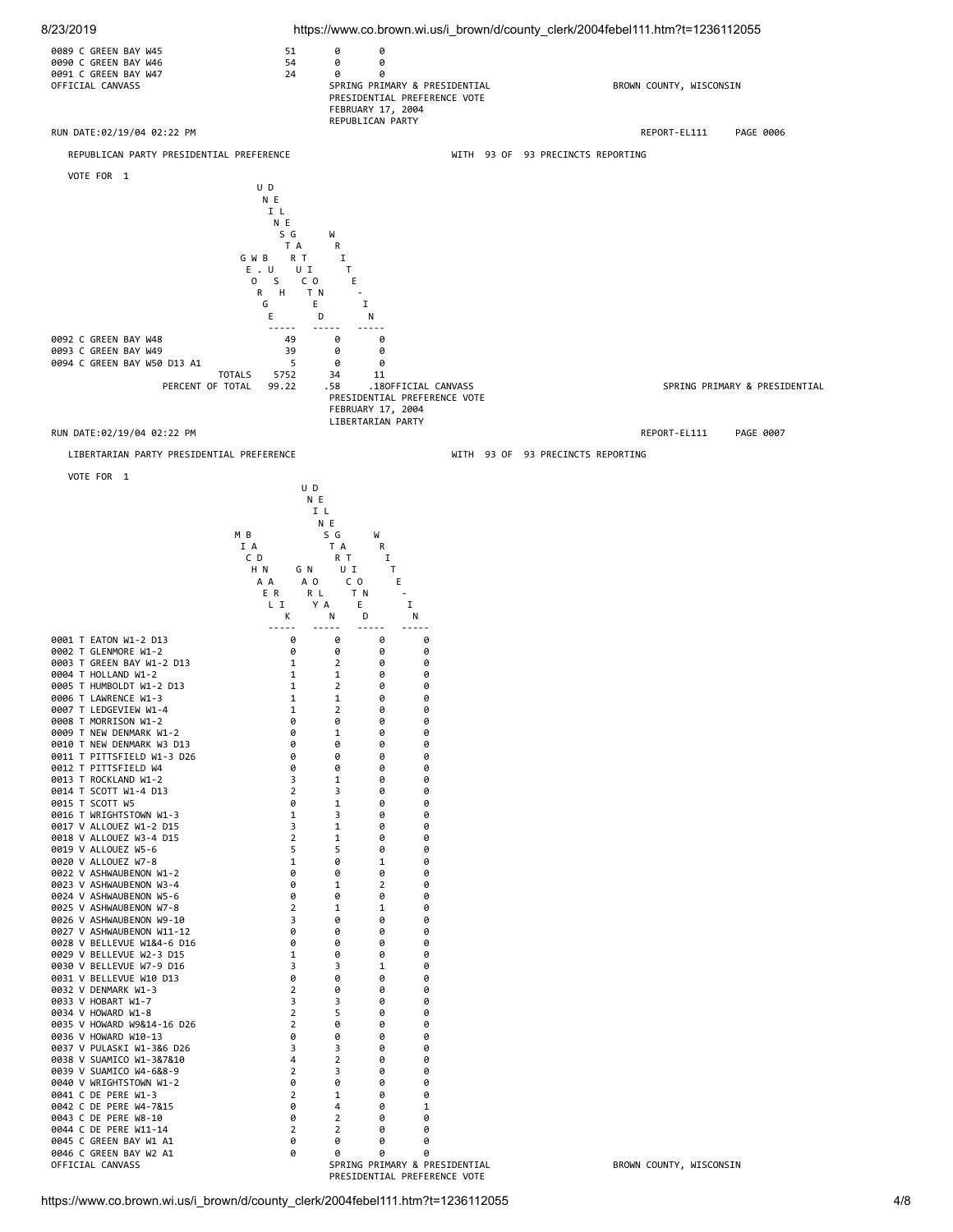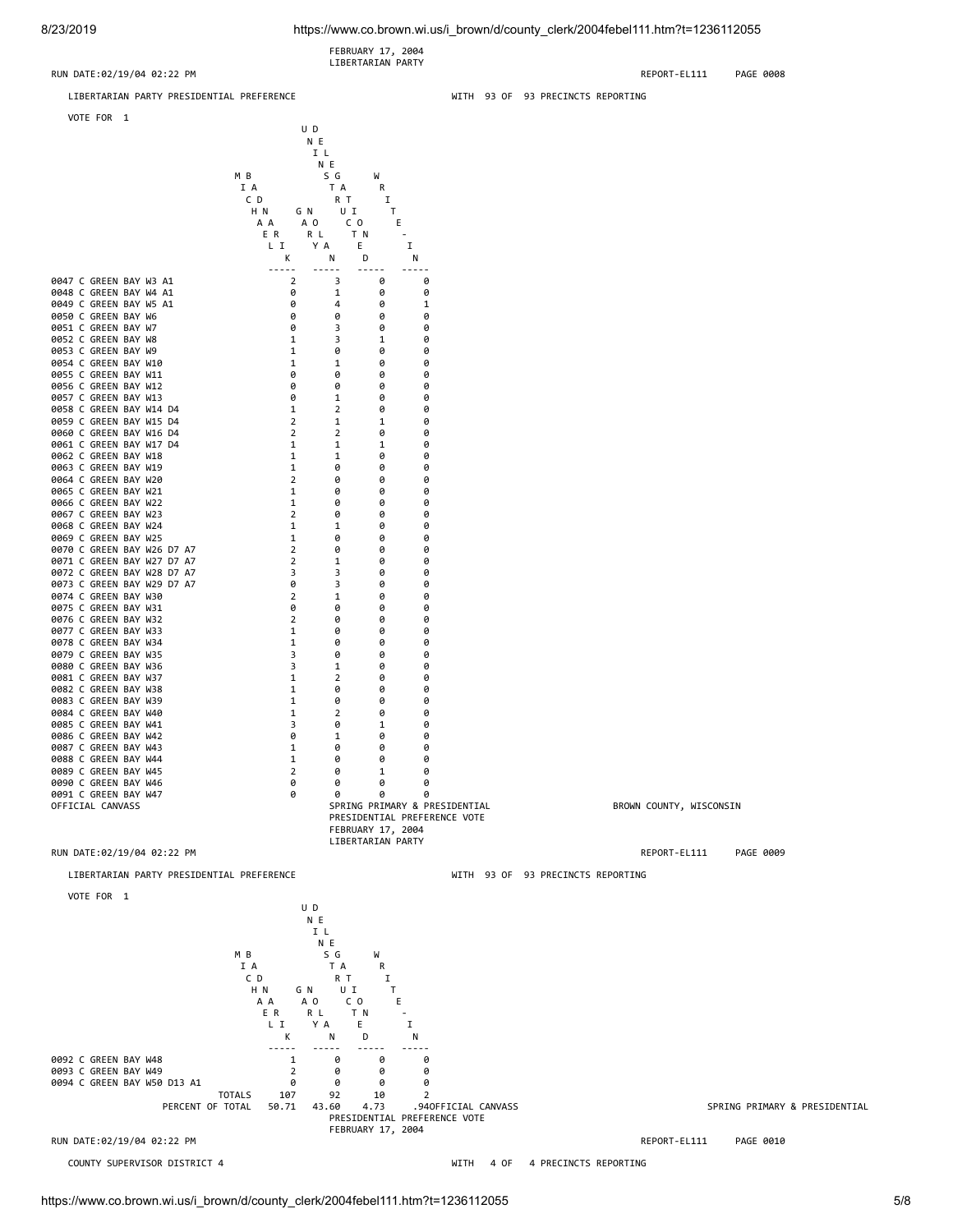FEBRUARY 17, 2004 LIBERTARIAN PARTY

RUN DATE:02/19/04 02:22 PM REPORT-EL111 PAGE 0008

LIBERTARIAN PARTY PRESIDENTIAL PREFERENCE WITH 93 OF 93 PRECINCTS REPORTING



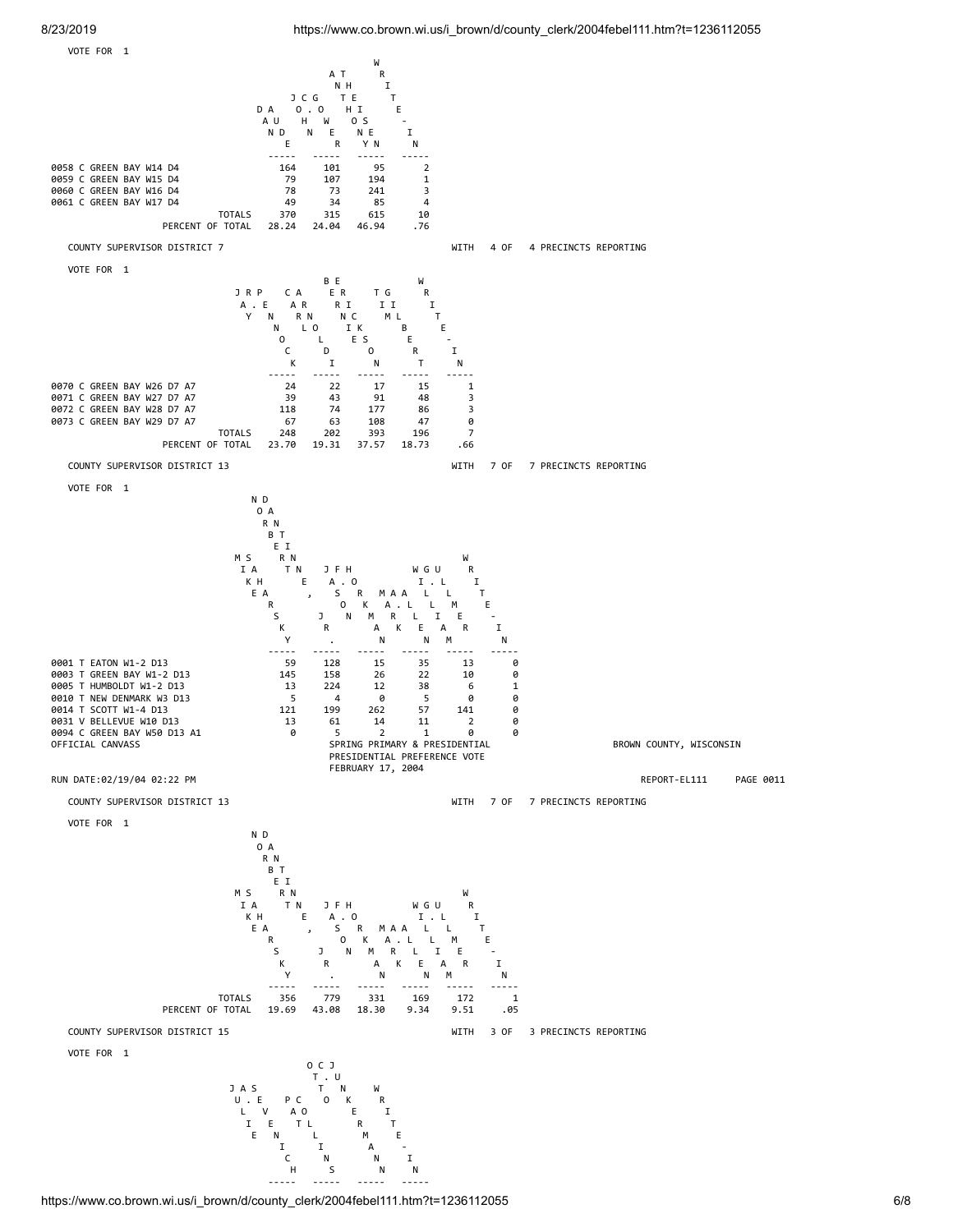

https://www.co.brown.wi.us/i\_brown/d/county\_clerk/2004febel111.htm?t=1236112055 6/8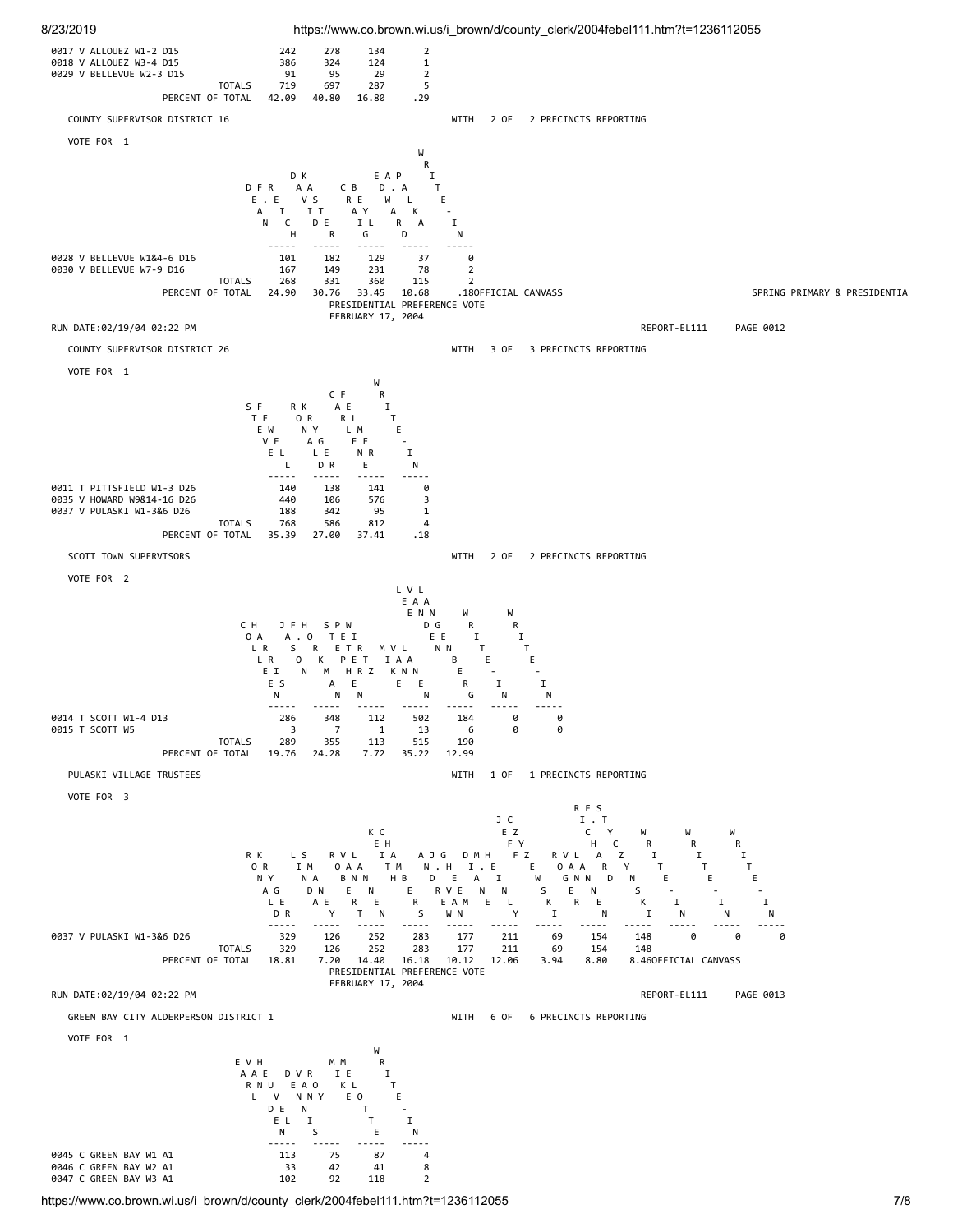

https://www.co.brown.wi.us/i\_brown/d/county\_clerk/2004febel111.htm?t=1236112055 7/8